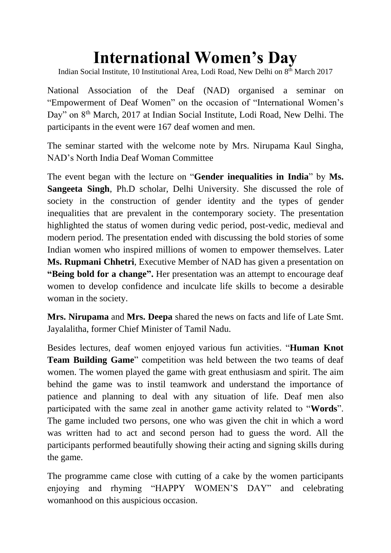## **International Women's Day**

Indian Social Institute, 10 Institutional Area, Lodi Road, New Delhi on 8<sup>th</sup> March 2017

National Association of the Deaf (NAD) organised a seminar on "Empowerment of Deaf Women" on the occasion of "International Women's Day" on 8<sup>th</sup> March, 2017 at Indian Social Institute, Lodi Road, New Delhi. The participants in the event were 167 deaf women and men.

The seminar started with the welcome note by Mrs. Nirupama Kaul Singha, NAD's North India Deaf Woman Committee

The event began with the lecture on "**Gender inequalities in India**" by **Ms. Sangeeta Singh**, Ph.D scholar, Delhi University. She discussed the role of society in the construction of gender identity and the types of gender inequalities that are prevalent in the contemporary society. The presentation highlighted the status of women during vedic period, post-vedic, medieval and modern period. The presentation ended with discussing the bold stories of some Indian women who inspired millions of women to empower themselves. Later **Ms. Rupmani Chhetri**, Executive Member of NAD has given a presentation on **"Being bold for a change".** Her presentation was an attempt to encourage deaf women to develop confidence and inculcate life skills to become a desirable woman in the society.

**Mrs. Nirupama** and **Mrs. Deepa** shared the news on facts and life of Late Smt. Jayalalitha, former Chief Minister of Tamil Nadu.

Besides lectures, deaf women enjoyed various fun activities. "**Human Knot Team Building Game**" competition was held between the two teams of deaf women. The women played the game with great enthusiasm and spirit. The aim behind the game was to instil teamwork and understand the importance of patience and planning to deal with any situation of life. Deaf men also participated with the same zeal in another game activity related to "**Words**". The game included two persons, one who was given the chit in which a word was written had to act and second person had to guess the word. All the participants performed beautifully showing their acting and signing skills during the game.

The programme came close with cutting of a cake by the women participants enjoying and rhyming "HAPPY WOMEN'S DAY" and celebrating womanhood on this auspicious occasion.